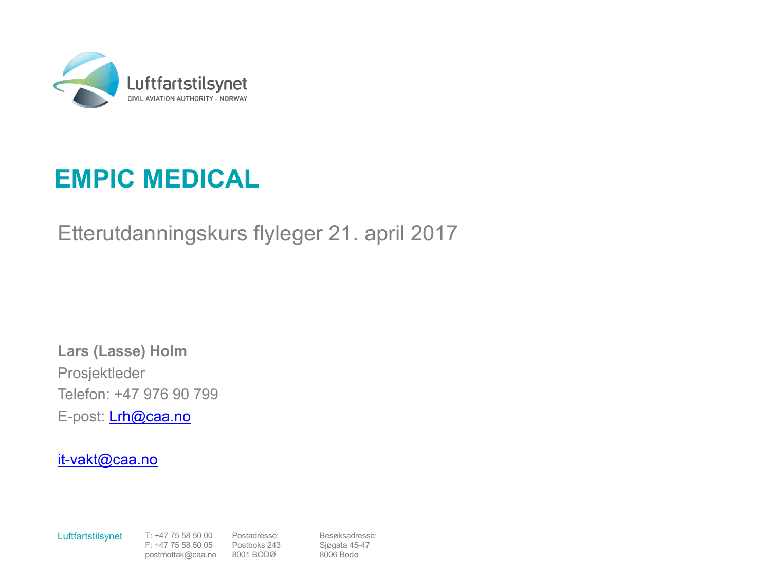

### **EMPIC MEDICAL**

Etterutdanningskurs flyleger 21. april 2017

**Lars (Lasse) Holm** Prosjektleder Telefon: +47 976 90 799 E-post: **Lrh@caa.no** 

#### it-vakt@caa.no

Luftfartstilsynet T: +47 75 58 50 00

F: +47 75 58 50 05 postmottak@caa.no Postadresse: Postboks 243 8001 BODØ

Besøksadresse: Sjøgata 45-47 8006 Bodø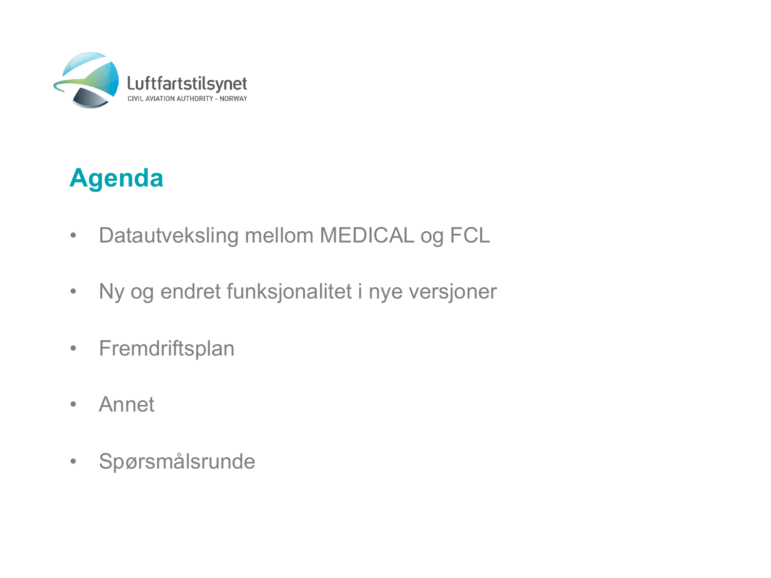

### **Agenda**

- Datautveksling mellom MEDICAL og FCL
- Ny og endret funksjonalitet i nye versjoner
- Fremdriftsplan
- Annet
- Spørsmålsrunde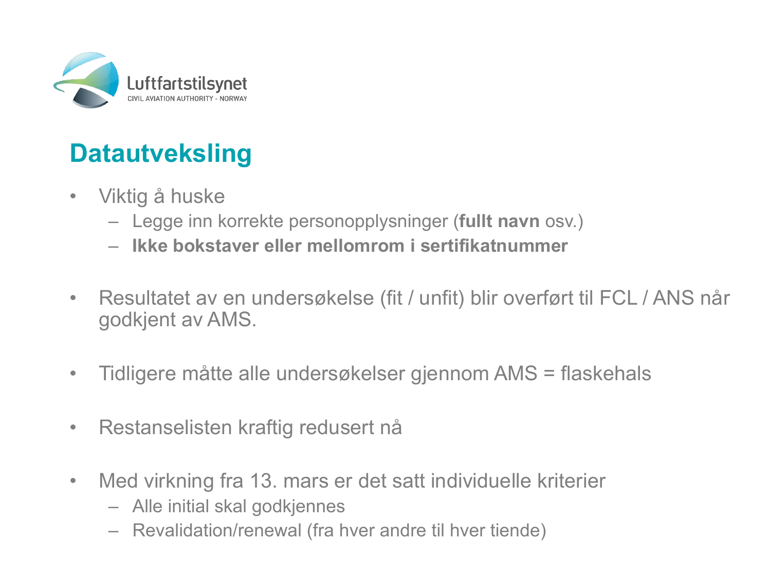

### **Datautveksling**

- Viktig å huske
	- Legge inn korrekte personopplysninger (**fullt navn** osv.)
	- **Ikke bokstaver eller mellomrom i sertifikatnummer**
- Resultatet av en undersøkelse (fit / unfit) blir overført til FCL / ANS når godkjent av AMS.
- Tidligere måtte alle undersøkelser gjennom AMS = flaskehals
- Restanselisten kraftig redusert nå
- Med virkning fra 13. mars er det satt individuelle kriterier
	- Alle initial skal godkjennes
	- Revalidation/renewal (fra hver andre til hver tiende)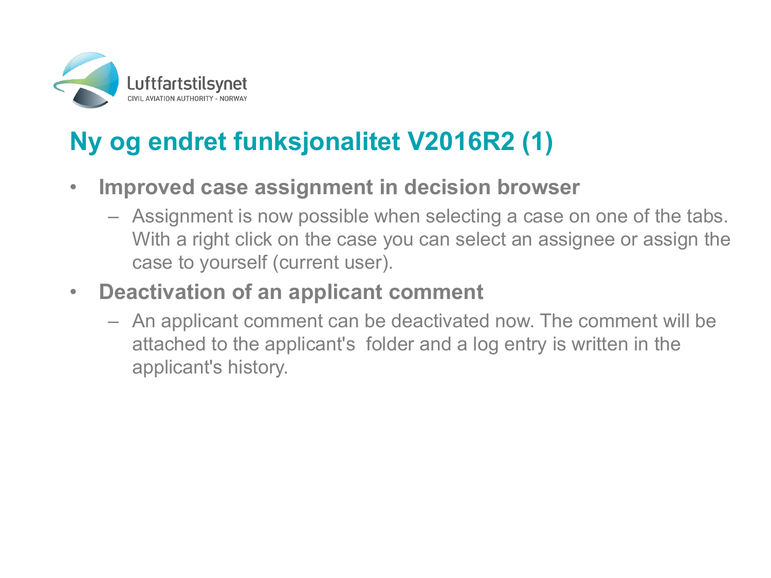

# **Ny og endret funksjonalitet V2016R2 (1)**

- **Improved case assignment in decision browser**
	- Assignment is now possible when selecting a case on one of the tabs. With a right click on the case you can select an assignee or assign the case to yourself (current user).
- **Deactivation of an applicant comment**
	- An applicant comment can be deactivated now. The comment will be attached to the applicant's folder and a log entry is written in the applicant's history.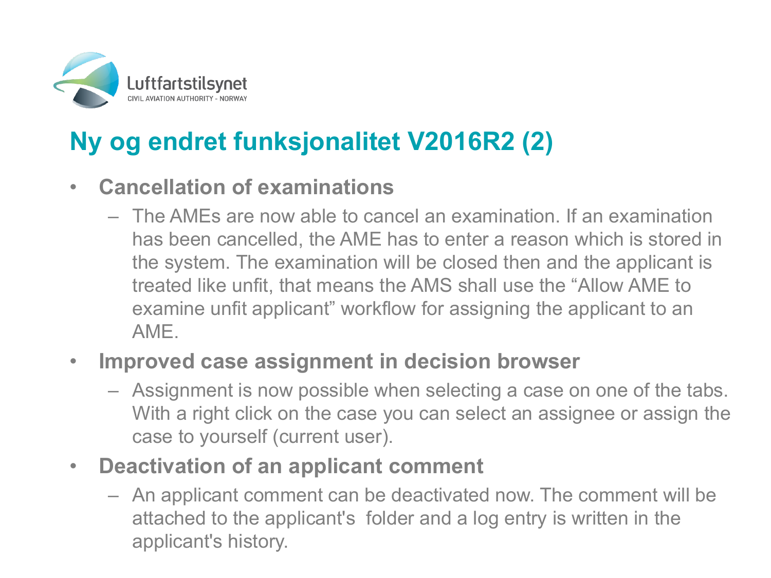

# **Ny og endret funksjonalitet V2016R2 (2)**

#### • **Cancellation of examinations**

– The AMEs are now able to cancel an examination. If an examination has been cancelled, the AME has to enter a reason which is stored in the system. The examination will be closed then and the applicant is treated like unfit, that means the AMS shall use the "Allow AME to examine unfit applicant" workflow for assigning the applicant to an AME.

#### • **Improved case assignment in decision browser**

- Assignment is now possible when selecting a case on one of the tabs. With a right click on the case you can select an assignee or assign the case to yourself (current user).
- **Deactivation of an applicant comment**
	- An applicant comment can be deactivated now. The comment will be attached to the applicant's folder and a log entry is written in the applicant's history.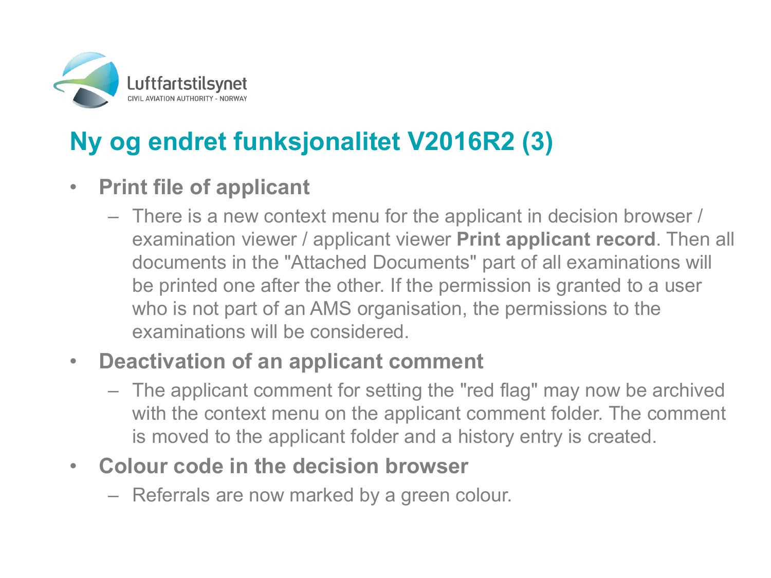

# **Ny og endret funksjonalitet V2016R2 (3)**

### • **Print file of applicant**

– There is a new context menu for the applicant in decision browser / examination viewer / applicant viewer **Print applicant record**. Then all documents in the "Attached Documents" part of all examinations will be printed one after the other. If the permission is granted to a user who is not part of an AMS organisation, the permissions to the examinations will be considered.

#### • **Deactivation of an applicant comment**

- The applicant comment for setting the "red flag" may now be archived with the context menu on the applicant comment folder. The comment is moved to the applicant folder and a history entry is created.
- **Colour code in the decision browser**
	- Referrals are now marked by a green colour.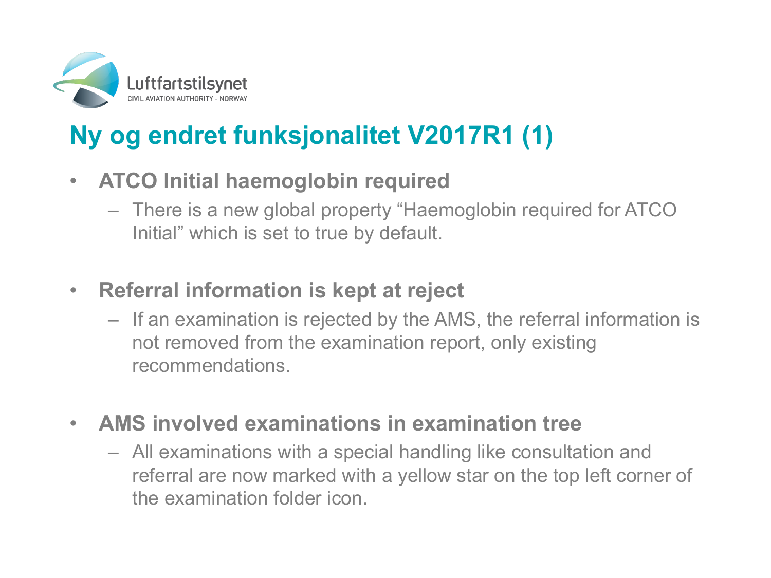

# **Ny og endret funksjonalitet V2017R1 (1)**

- **ATCO Initial haemoglobin required**
	- There is a new global property "Haemoglobin required for ATCO Initial" which is set to true by default.
- **Referral information is kept at reject**
	- If an examination is rejected by the AMS, the referral information is not removed from the examination report, only existing recommendations.
- **AMS involved examinations in examination tree**
	- All examinations with a special handling like consultation and referral are now marked with a yellow star on the top left corner of the examination folder icon.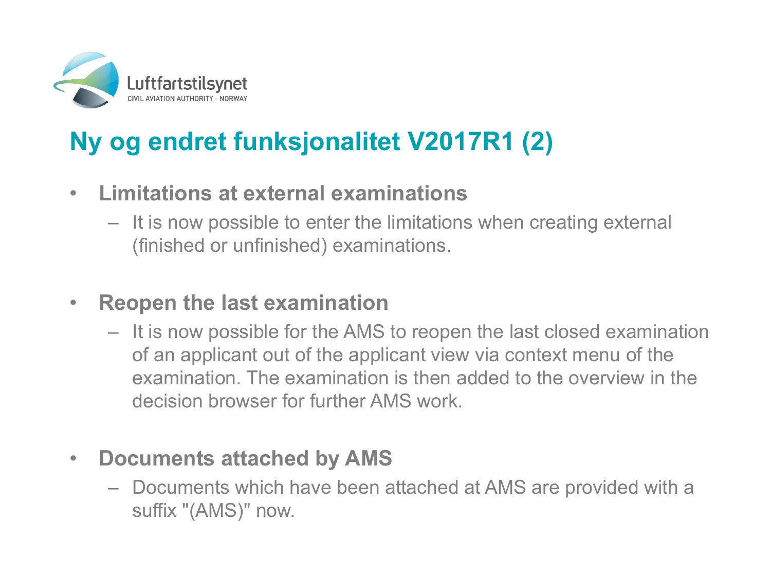

# **Ny og endret funksjonalitet V2017R1 (2)**

- **Limitations at external examinations**
	- It is now possible to enter the limitations when creating external (finished or unfinished) examinations.

#### • **Reopen the last examination**

– It is now possible for the AMS to reopen the last closed examination of an applicant out of the applicant view via context menu of the examination. The examination is then added to the overview in the decision browser for further AMS work.

#### • **Documents attached by AMS**

– Documents which have been attached at AMS are provided with a suffix "(AMS)" now.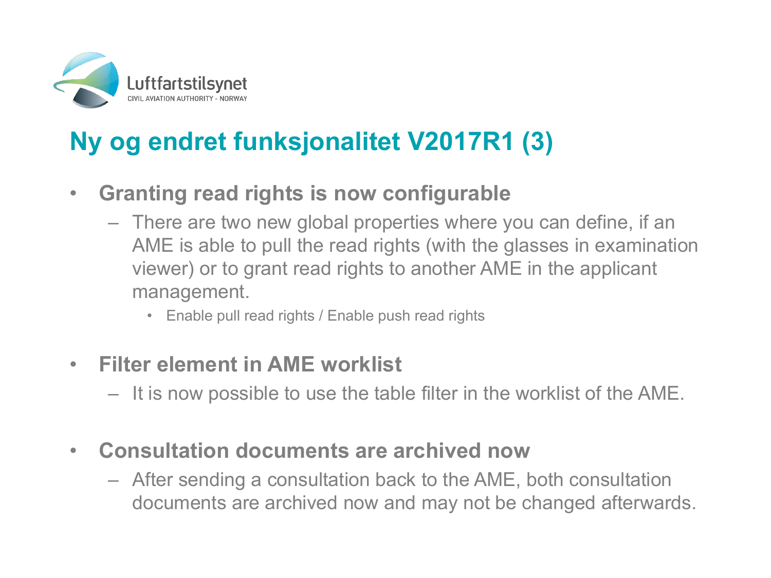

# **Ny og endret funksjonalitet V2017R1 (3)**

- **Granting read rights is now configurable**
	- There are two new global properties where you can define, if an AME is able to pull the read rights (with the glasses in examination viewer) or to grant read rights to another AME in the applicant management.
		- Enable pull read rights / Enable push read rights
- **Filter element in AME worklist**
	- It is now possible to use the table filter in the worklist of the AME.
- **Consultation documents are archived now**
	- After sending a consultation back to the AME, both consultation documents are archived now and may not be changed afterwards.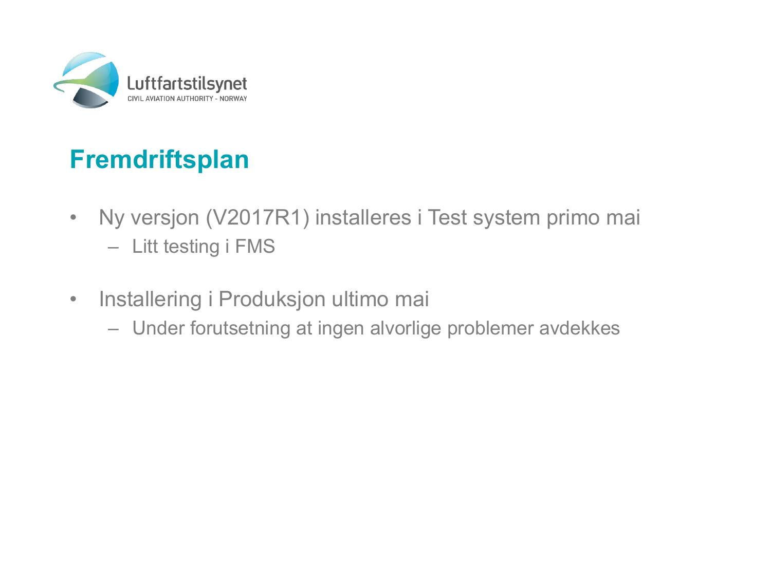

### **Fremdriftsplan**

- Ny versjon (V2017R1) installeres i Test system primo mai – Litt testing i FMS
- Installering i Produksjon ultimo mai
	- Under forutsetning at ingen alvorlige problemer avdekkes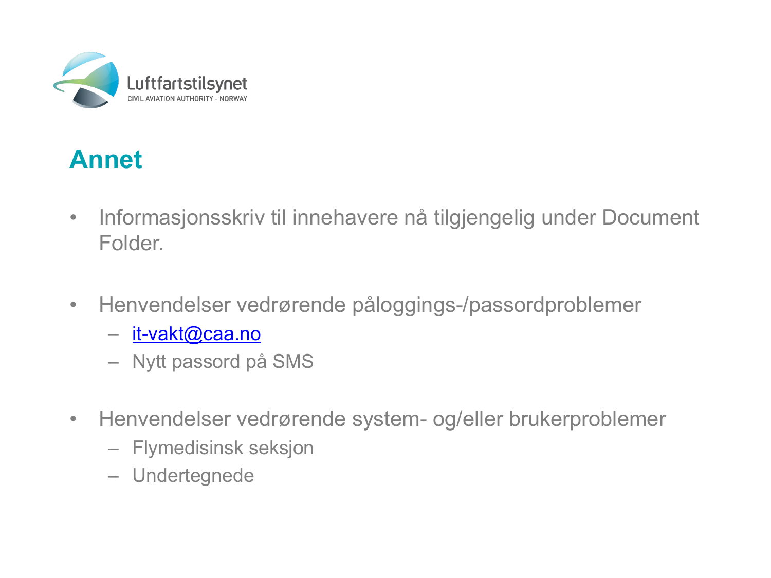

### **Annet**

- Informasjonsskriv til innehavere nå tilgjengelig under Document Folder.
- Henvendelser vedrørende påloggings-/passordproblemer
	- it-vakt@caa.no
	- Nytt passord på SMS
- Henvendelser vedrørende system- og/eller brukerproblemer
	- Flymedisinsk seksjon
	- Undertegnede